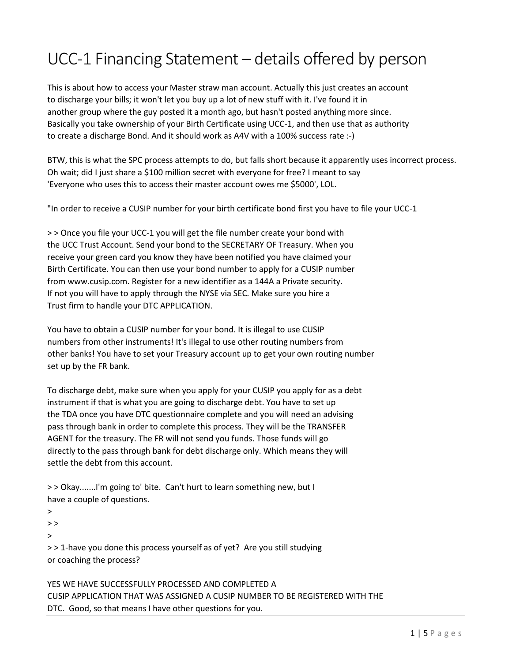## UCC-1 Financing Statement – details offered by person

This is about how to access your Master straw man account. Actually this just creates an account to discharge your bills; it won't let you buy up a lot of new stuff with it. I've found it in another group where the guy posted it a month ago, but hasn't posted anything more since. Basically you take ownership of your Birth Certificate using UCC-1, and then use that as authority to create a discharge Bond. And it should work as A4V with a 100% success rate :-)

BTW, this is what the SPC process attempts to do, but falls short because it apparently uses incorrect process. Oh wait; did I just share a \$100 million secret with everyone for free? I meant to say 'Everyone who uses this to access their master account owes me \$5000', LOL.

"In order to receive a CUSIP number for your birth certificate bond first you have to file your UCC-1

> > Once you file your UCC-1 you will get the file number create your bond with the UCC Trust Account. Send your bond to the SECRETARY OF Treasury. When you receive your green card you know they have been notified you have claimed your Birth Certificate. You can then use your bond number to apply for a CUSIP number from www.cusip.com. Register for a new identifier as a 144A a Private security. If not you will have to apply through the NYSE via SEC. Make sure you hire a Trust firm to handle your DTC APPLICATION.

You have to obtain a CUSIP number for your bond. It is illegal to use CUSIP numbers from other instruments! It's illegal to use other routing numbers from other banks! You have to set your Treasury account up to get your own routing number set up by the FR bank.

To discharge debt, make sure when you apply for your CUSIP you apply for as a debt instrument if that is what you are going to discharge debt. You have to set up the TDA once you have DTC questionnaire complete and you will need an advising pass through bank in order to complete this process. They will be the TRANSFER AGENT for the treasury. The FR will not send you funds. Those funds will go directly to the pass through bank for debt discharge only. Which means they will settle the debt from this account.

```
> > Okay.......I'm going to' bite. Can't hurt to learn something new, but I
have a couple of questions.
```
>

 $>$ 

>

> > 1-have you done this process yourself as of yet? Are you still studying or coaching the process?

YES WE HAVE SUCCESSFULLY PROCESSED AND COMPLETED A CUSIP APPLICATION THAT WAS ASSIGNED A CUSIP NUMBER TO BE REGISTERED WITH THE DTC. Good, so that means I have other questions for you.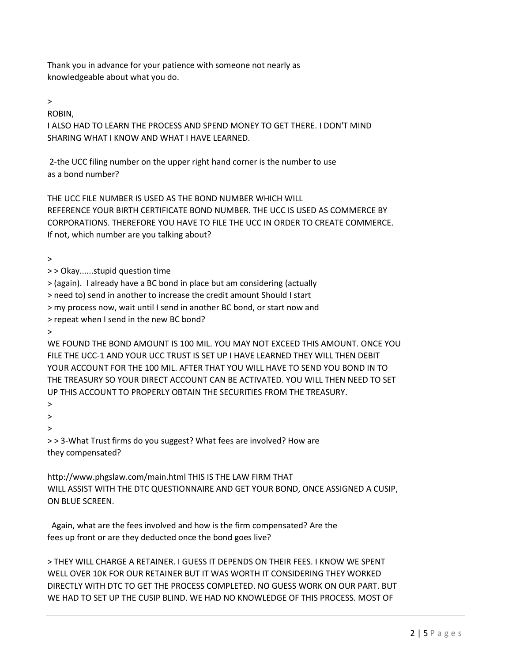Thank you in advance for your patience with someone not nearly as knowledgeable about what you do.

 $\,>$ 

ROBIN,

I ALSO HAD TO LEARN THE PROCESS AND SPEND MONEY TO GET THERE. I DON'T MIND SHARING WHAT I KNOW AND WHAT I HAVE LEARNED.

2-the UCC filing number on the upper right hand corner is the number to use as a bond number?

THE UCC FILE NUMBER IS USED AS THE BOND NUMBER WHICH WILL REFERENCE YOUR BIRTH CERTIFICATE BOND NUMBER. THE UCC IS USED AS COMMERCE BY CORPORATIONS. THEREFORE YOU HAVE TO FILE THE UCC IN ORDER TO CREATE COMMERCE. If not, which number are you talking about?

>

> > Okay......stupid question time

> (again). I already have a BC bond in place but am considering (actually

> need to) send in another to increase the credit amount Should I start

> my process now, wait until I send in another BC bond, or start now and

> repeat when I send in the new BC bond?

>

WE FOUND THE BOND AMOUNT IS 100 MIL. YOU MAY NOT EXCEED THIS AMOUNT. ONCE YOU FILE THE UCC-1 AND YOUR UCC TRUST IS SET UP I HAVE LEARNED THEY WILL THEN DEBIT YOUR ACCOUNT FOR THE 100 MIL. AFTER THAT YOU WILL HAVE TO SEND YOU BOND IN TO THE TREASURY SO YOUR DIRECT ACCOUNT CAN BE ACTIVATED. YOU WILL THEN NEED TO SET UP THIS ACCOUNT TO PROPERLY OBTAIN THE SECURITIES FROM THE TREASURY.

 $\mathbf{v}$ 

>

>

> > 3-What Trust firms do you suggest? What fees are involved? How are they compensated?

http://www.phgslaw.com/main.html THIS IS THE LAW FIRM THAT WILL ASSIST WITH THE DTC QUESTIONNAIRE AND GET YOUR BOND, ONCE ASSIGNED A CUSIP, ON BLUE SCREEN.

 Again, what are the fees involved and how is the firm compensated? Are the fees up front or are they deducted once the bond goes live?

> THEY WILL CHARGE A RETAINER. I GUESS IT DEPENDS ON THEIR FEES. I KNOW WE SPENT WELL OVER 10K FOR OUR RETAINER BUT IT WAS WORTH IT CONSIDERING THEY WORKED DIRECTLY WITH DTC TO GET THE PROCESS COMPLETED. NO GUESS WORK ON OUR PART. BUT WE HAD TO SET UP THE CUSIP BLIND. WE HAD NO KNOWLEDGE OF THIS PROCESS. MOST OF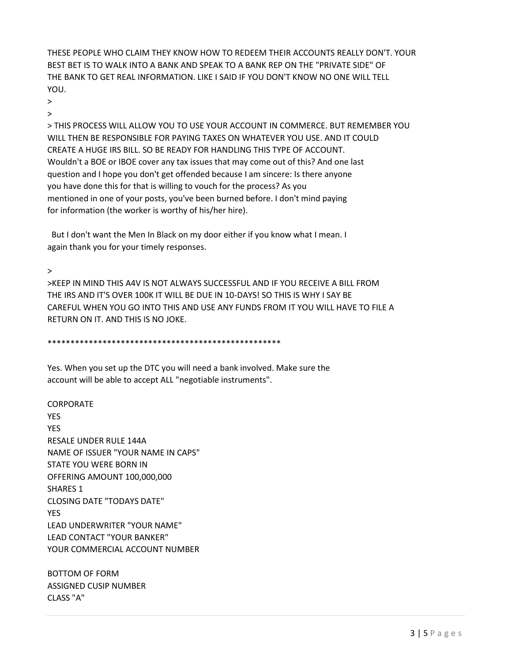THESE PEOPLE WHO CLAIM THEY KNOW HOW TO REDEEM THEIR ACCOUNTS REALLY DON'T. YOUR BEST BET IS TO WALK INTO A BANK AND SPEAK TO A BANK REP ON THE "PRIVATE SIDE" OF THE BANK TO GET REAL INFORMATION. LIKE I SAID IF YOU DON'T KNOW NO ONE WILL TELL YOU.

>

 $\overline{\phantom{a}}$ 

> THIS PROCESS WILL ALLOW YOU TO USE YOUR ACCOUNT IN COMMERCE. BUT REMEMBER YOU WILL THEN BE RESPONSIBLE FOR PAYING TAXES ON WHATEVER YOU USE. AND IT COULD CREATE A HUGE IRS BILL. SO BE READY FOR HANDLING THIS TYPE OF ACCOUNT. Wouldn't a BOE or IBOE cover any tax issues that may come out of this? And one last question and I hope you don't get offended because I am sincere: Is there anyone you have done this for that is willing to vouch for the process? As you mentioned in one of your posts, you've been burned before. I don't mind paying for information (the worker is worthy of his/her hire).

 But I don't want the Men In Black on my door either if you know what I mean. I again thank you for your timely responses.

>

>KEEP IN MIND THIS A4V IS NOT ALWAYS SUCCESSFUL AND IF YOU RECEIVE A BILL FROM THE IRS AND IT'S OVER 100K IT WILL BE DUE IN 10-DAYS! SO THIS IS WHY I SAY BE CAREFUL WHEN YOU GO INTO THIS AND USE ANY FUNDS FROM IT YOU WILL HAVE TO FILE A RETURN ON IT. AND THIS IS NO JOKE.

\*\*\*\*\*\*\*\*\*\*\*\*\*\*\*\*\*\*\*\*\*\*\*\*\*\*\*\*\*\*\*\*\*\*\*\*\*\*\*\*\*\*\*\*\*\*\*\*\*\*\*

Yes. When you set up the DTC you will need a bank involved. Make sure the account will be able to accept ALL "negotiable instruments".

CORPORATE YES YES RESALE UNDER RULE 144A NAME OF ISSUER "YOUR NAME IN CAPS" STATE YOU WERE BORN IN OFFERING AMOUNT 100,000,000 SHARES 1 CLOSING DATE "TODAYS DATE" YES LEAD UNDERWRITER "YOUR NAME" LEAD CONTACT "YOUR BANKER" YOUR COMMERCIAL ACCOUNT NUMBER

BOTTOM OF FORM ASSIGNED CUSIP NUMBER CLASS "A"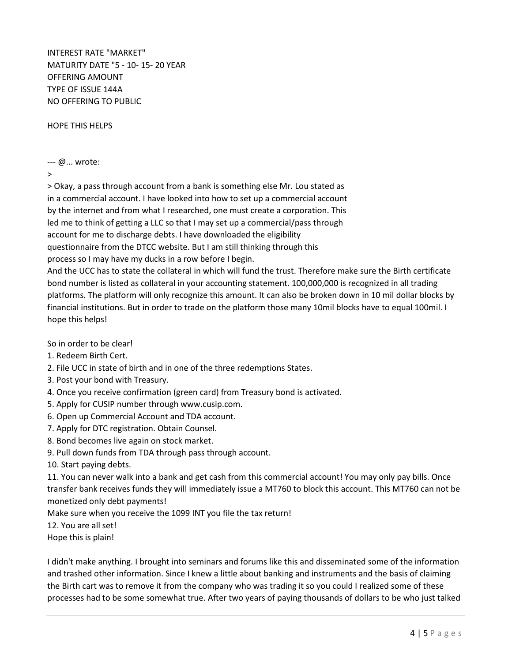INTEREST RATE "MARKET" MATURITY DATE "5 - 10- 15- 20 YEAR OFFERING AMOUNT TYPE OF ISSUE 144A NO OFFERING TO PUBLIC

HOPE THIS HELPS

## --- @... wrote:

>

> Okay, a pass through account from a bank is something else Mr. Lou stated as in a commercial account. I have looked into how to set up a commercial account by the internet and from what I researched, one must create a corporation. This led me to think of getting a LLC so that I may set up a commercial/pass through account for me to discharge debts. I have downloaded the eligibility questionnaire from the DTCC website. But I am still thinking through this process so I may have my ducks in a row before I begin.

And the UCC has to state the collateral in which will fund the trust. Therefore make sure the Birth certificate bond number is listed as collateral in your accounting statement. 100,000,000 is recognized in all trading platforms. The platform will only recognize this amount. It can also be broken down in 10 mil dollar blocks by financial institutions. But in order to trade on the platform those many 10mil blocks have to equal 100mil. I hope this helps!

So in order to be clear!

- 1. Redeem Birth Cert.
- 2. File UCC in state of birth and in one of the three redemptions States.
- 3. Post your bond with Treasury.
- 4. Once you receive confirmation (green card) from Treasury bond is activated.
- 5. Apply for CUSIP number through www.cusip.com.
- 6. Open up Commercial Account and TDA account.
- 7. Apply for DTC registration. Obtain Counsel.
- 8. Bond becomes live again on stock market.
- 9. Pull down funds from TDA through pass through account.

10. Start paying debts.

11. You can never walk into a bank and get cash from this commercial account! You may only pay bills. Once transfer bank receives funds they will immediately issue a MT760 to block this account. This MT760 can not be monetized only debt payments!

Make sure when you receive the 1099 INT you file the tax return!

12. You are all set!

Hope this is plain!

I didn't make anything. I brought into seminars and forums like this and disseminated some of the information and trashed other information. Since I knew a little about banking and instruments and the basis of claiming the Birth cart was to remove it from the company who was trading it so you could I realized some of these processes had to be some somewhat true. After two years of paying thousands of dollars to be who just talked